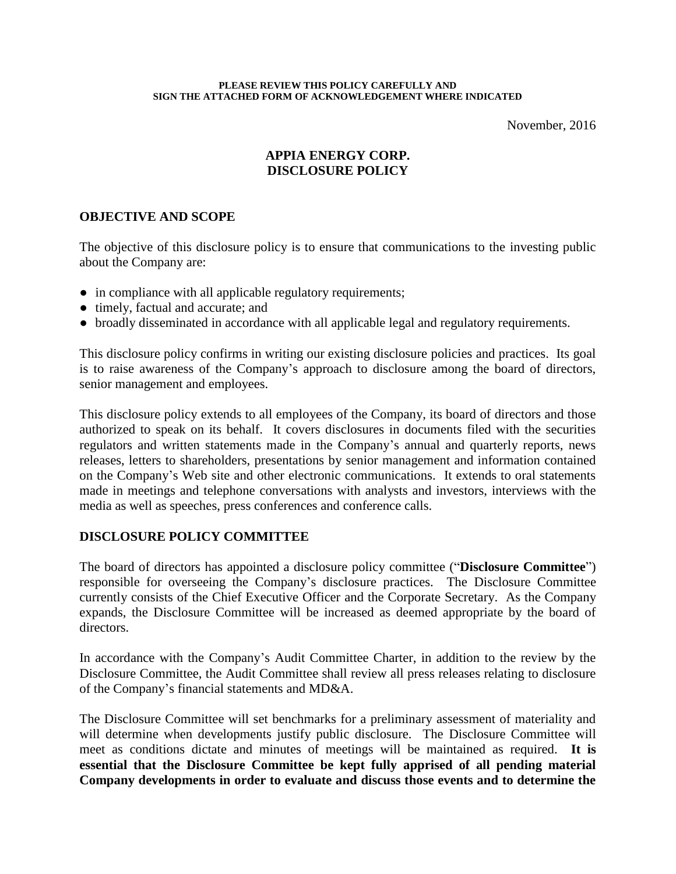#### **PLEASE REVIEW THIS POLICY CAREFULLY AND SIGN THE ATTACHED FORM OF ACKNOWLEDGEMENT WHERE INDICATED**

November, 2016

## **APPIA ENERGY CORP. DISCLOSURE POLICY**

## **OBJECTIVE AND SCOPE**

The objective of this disclosure policy is to ensure that communications to the investing public about the Company are:

- in compliance with all applicable regulatory requirements;
- timely, factual and accurate; and
- broadly disseminated in accordance with all applicable legal and regulatory requirements.

This disclosure policy confirms in writing our existing disclosure policies and practices. Its goal is to raise awareness of the Company's approach to disclosure among the board of directors, senior management and employees.

This disclosure policy extends to all employees of the Company, its board of directors and those authorized to speak on its behalf. It covers disclosures in documents filed with the securities regulators and written statements made in the Company's annual and quarterly reports, news releases, letters to shareholders, presentations by senior management and information contained on the Company's Web site and other electronic communications. It extends to oral statements made in meetings and telephone conversations with analysts and investors, interviews with the media as well as speeches, press conferences and conference calls.

#### **DISCLOSURE POLICY COMMITTEE**

The board of directors has appointed a disclosure policy committee ("**Disclosure Committee**") responsible for overseeing the Company's disclosure practices. The Disclosure Committee currently consists of the Chief Executive Officer and the Corporate Secretary. As the Company expands, the Disclosure Committee will be increased as deemed appropriate by the board of directors.

In accordance with the Company's Audit Committee Charter, in addition to the review by the Disclosure Committee, the Audit Committee shall review all press releases relating to disclosure of the Company's financial statements and MD&A.

The Disclosure Committee will set benchmarks for a preliminary assessment of materiality and will determine when developments justify public disclosure. The Disclosure Committee will meet as conditions dictate and minutes of meetings will be maintained as required. **It is essential that the Disclosure Committee be kept fully apprised of all pending material Company developments in order to evaluate and discuss those events and to determine the**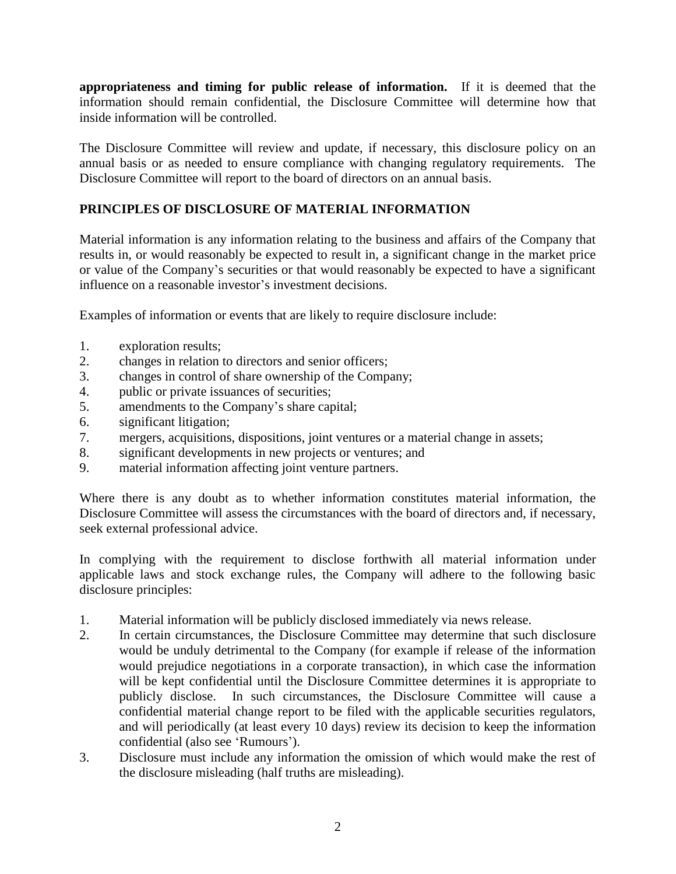**appropriateness and timing for public release of information.** If it is deemed that the information should remain confidential, the Disclosure Committee will determine how that inside information will be controlled.

The Disclosure Committee will review and update, if necessary, this disclosure policy on an annual basis or as needed to ensure compliance with changing regulatory requirements. The Disclosure Committee will report to the board of directors on an annual basis.

# **PRINCIPLES OF DISCLOSURE OF MATERIAL INFORMATION**

Material information is any information relating to the business and affairs of the Company that results in, or would reasonably be expected to result in, a significant change in the market price or value of the Company's securities or that would reasonably be expected to have a significant influence on a reasonable investor's investment decisions.

Examples of information or events that are likely to require disclosure include:

- 1. exploration results;
- 2. changes in relation to directors and senior officers;
- 3. changes in control of share ownership of the Company;
- 4. public or private issuances of securities;
- 5. amendments to the Company's share capital;
- 6. significant litigation;
- 7. mergers, acquisitions, dispositions, joint ventures or a material change in assets;
- 8. significant developments in new projects or ventures; and
- 9. material information affecting joint venture partners.

Where there is any doubt as to whether information constitutes material information, the Disclosure Committee will assess the circumstances with the board of directors and, if necessary, seek external professional advice.

In complying with the requirement to disclose forthwith all material information under applicable laws and stock exchange rules, the Company will adhere to the following basic disclosure principles:

- 1. Material information will be publicly disclosed immediately via news release.
- 2. In certain circumstances, the Disclosure Committee may determine that such disclosure would be unduly detrimental to the Company (for example if release of the information would prejudice negotiations in a corporate transaction), in which case the information will be kept confidential until the Disclosure Committee determines it is appropriate to publicly disclose. In such circumstances, the Disclosure Committee will cause a confidential material change report to be filed with the applicable securities regulators, and will periodically (at least every 10 days) review its decision to keep the information confidential (also see 'Rumours').
- 3. Disclosure must include any information the omission of which would make the rest of the disclosure misleading (half truths are misleading).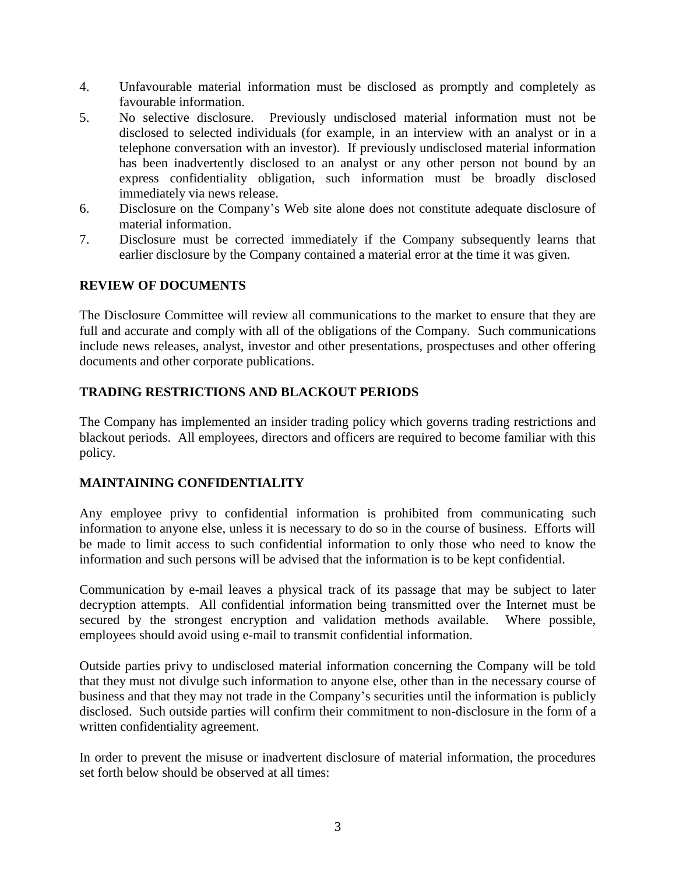- 4. Unfavourable material information must be disclosed as promptly and completely as favourable information.
- 5. No selective disclosure. Previously undisclosed material information must not be disclosed to selected individuals (for example, in an interview with an analyst or in a telephone conversation with an investor). If previously undisclosed material information has been inadvertently disclosed to an analyst or any other person not bound by an express confidentiality obligation, such information must be broadly disclosed immediately via news release.
- 6. Disclosure on the Company's Web site alone does not constitute adequate disclosure of material information.
- 7. Disclosure must be corrected immediately if the Company subsequently learns that earlier disclosure by the Company contained a material error at the time it was given.

# **REVIEW OF DOCUMENTS**

The Disclosure Committee will review all communications to the market to ensure that they are full and accurate and comply with all of the obligations of the Company. Such communications include news releases, analyst, investor and other presentations, prospectuses and other offering documents and other corporate publications.

# **TRADING RESTRICTIONS AND BLACKOUT PERIODS**

The Company has implemented an insider trading policy which governs trading restrictions and blackout periods. All employees, directors and officers are required to become familiar with this policy.

## **MAINTAINING CONFIDENTIALITY**

Any employee privy to confidential information is prohibited from communicating such information to anyone else, unless it is necessary to do so in the course of business. Efforts will be made to limit access to such confidential information to only those who need to know the information and such persons will be advised that the information is to be kept confidential.

Communication by e-mail leaves a physical track of its passage that may be subject to later decryption attempts. All confidential information being transmitted over the Internet must be secured by the strongest encryption and validation methods available. Where possible, employees should avoid using e-mail to transmit confidential information.

Outside parties privy to undisclosed material information concerning the Company will be told that they must not divulge such information to anyone else, other than in the necessary course of business and that they may not trade in the Company's securities until the information is publicly disclosed. Such outside parties will confirm their commitment to non-disclosure in the form of a written confidentiality agreement.

In order to prevent the misuse or inadvertent disclosure of material information, the procedures set forth below should be observed at all times: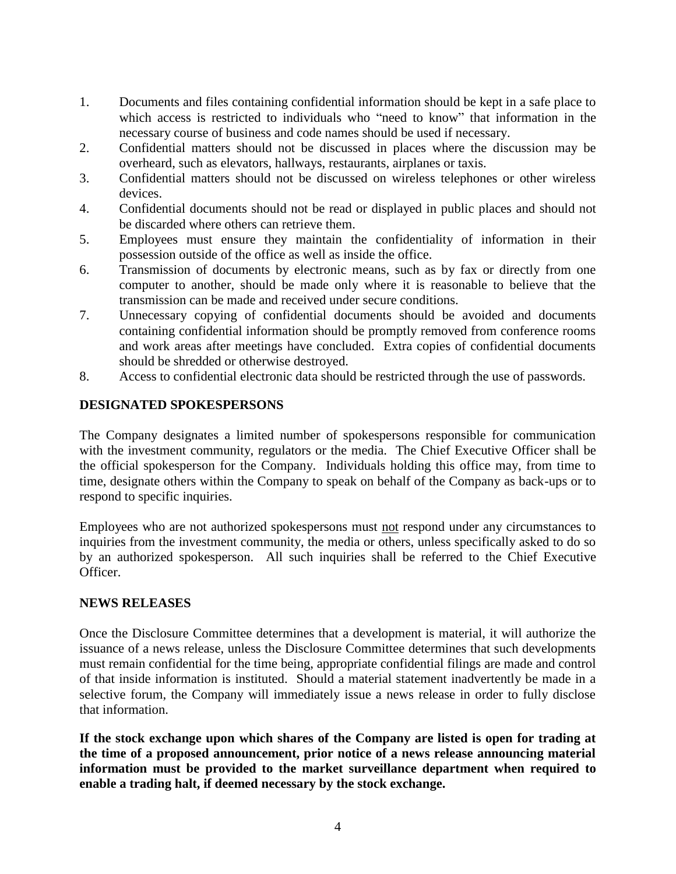- 1. Documents and files containing confidential information should be kept in a safe place to which access is restricted to individuals who "need to know" that information in the necessary course of business and code names should be used if necessary.
- 2. Confidential matters should not be discussed in places where the discussion may be overheard, such as elevators, hallways, restaurants, airplanes or taxis.
- 3. Confidential matters should not be discussed on wireless telephones or other wireless devices.
- 4. Confidential documents should not be read or displayed in public places and should not be discarded where others can retrieve them.
- 5. Employees must ensure they maintain the confidentiality of information in their possession outside of the office as well as inside the office.
- 6. Transmission of documents by electronic means, such as by fax or directly from one computer to another, should be made only where it is reasonable to believe that the transmission can be made and received under secure conditions.
- 7. Unnecessary copying of confidential documents should be avoided and documents containing confidential information should be promptly removed from conference rooms and work areas after meetings have concluded. Extra copies of confidential documents should be shredded or otherwise destroyed.
- 8. Access to confidential electronic data should be restricted through the use of passwords.

## **DESIGNATED SPOKESPERSONS**

The Company designates a limited number of spokespersons responsible for communication with the investment community, regulators or the media. The Chief Executive Officer shall be the official spokesperson for the Company. Individuals holding this office may, from time to time, designate others within the Company to speak on behalf of the Company as back-ups or to respond to specific inquiries.

Employees who are not authorized spokespersons must not respond under any circumstances to inquiries from the investment community, the media or others, unless specifically asked to do so by an authorized spokesperson. All such inquiries shall be referred to the Chief Executive Officer.

#### **NEWS RELEASES**

Once the Disclosure Committee determines that a development is material, it will authorize the issuance of a news release, unless the Disclosure Committee determines that such developments must remain confidential for the time being, appropriate confidential filings are made and control of that inside information is instituted. Should a material statement inadvertently be made in a selective forum, the Company will immediately issue a news release in order to fully disclose that information.

**If the stock exchange upon which shares of the Company are listed is open for trading at the time of a proposed announcement, prior notice of a news release announcing material information must be provided to the market surveillance department when required to enable a trading halt, if deemed necessary by the stock exchange.**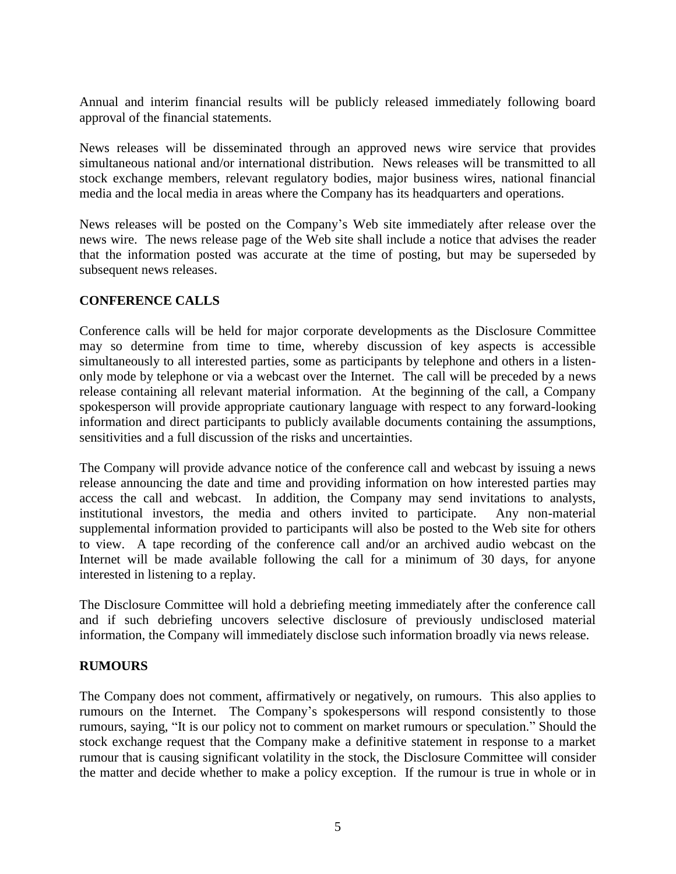Annual and interim financial results will be publicly released immediately following board approval of the financial statements.

News releases will be disseminated through an approved news wire service that provides simultaneous national and/or international distribution. News releases will be transmitted to all stock exchange members, relevant regulatory bodies, major business wires, national financial media and the local media in areas where the Company has its headquarters and operations.

News releases will be posted on the Company's Web site immediately after release over the news wire. The news release page of the Web site shall include a notice that advises the reader that the information posted was accurate at the time of posting, but may be superseded by subsequent news releases.

## **CONFERENCE CALLS**

Conference calls will be held for major corporate developments as the Disclosure Committee may so determine from time to time, whereby discussion of key aspects is accessible simultaneously to all interested parties, some as participants by telephone and others in a listenonly mode by telephone or via a webcast over the Internet. The call will be preceded by a news release containing all relevant material information. At the beginning of the call, a Company spokesperson will provide appropriate cautionary language with respect to any forward-looking information and direct participants to publicly available documents containing the assumptions, sensitivities and a full discussion of the risks and uncertainties.

The Company will provide advance notice of the conference call and webcast by issuing a news release announcing the date and time and providing information on how interested parties may access the call and webcast. In addition, the Company may send invitations to analysts, institutional investors, the media and others invited to participate. Any non-material supplemental information provided to participants will also be posted to the Web site for others to view. A tape recording of the conference call and/or an archived audio webcast on the Internet will be made available following the call for a minimum of 30 days, for anyone interested in listening to a replay.

The Disclosure Committee will hold a debriefing meeting immediately after the conference call and if such debriefing uncovers selective disclosure of previously undisclosed material information, the Company will immediately disclose such information broadly via news release.

#### **RUMOURS**

The Company does not comment, affirmatively or negatively, on rumours. This also applies to rumours on the Internet. The Company's spokespersons will respond consistently to those rumours, saying, "It is our policy not to comment on market rumours or speculation." Should the stock exchange request that the Company make a definitive statement in response to a market rumour that is causing significant volatility in the stock, the Disclosure Committee will consider the matter and decide whether to make a policy exception. If the rumour is true in whole or in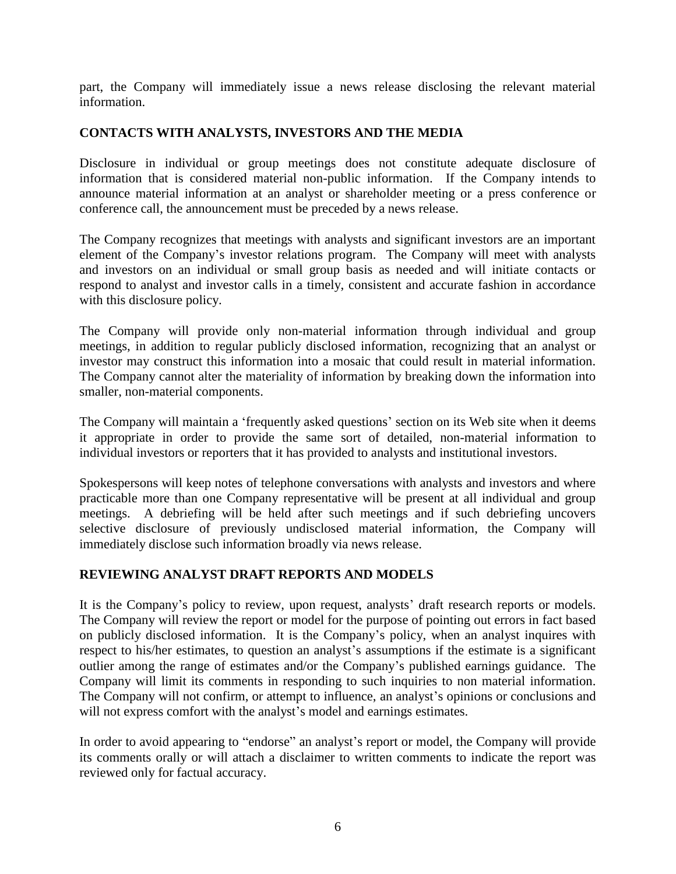part, the Company will immediately issue a news release disclosing the relevant material information.

## **CONTACTS WITH ANALYSTS, INVESTORS AND THE MEDIA**

Disclosure in individual or group meetings does not constitute adequate disclosure of information that is considered material non-public information. If the Company intends to announce material information at an analyst or shareholder meeting or a press conference or conference call, the announcement must be preceded by a news release.

The Company recognizes that meetings with analysts and significant investors are an important element of the Company's investor relations program. The Company will meet with analysts and investors on an individual or small group basis as needed and will initiate contacts or respond to analyst and investor calls in a timely, consistent and accurate fashion in accordance with this disclosure policy.

The Company will provide only non-material information through individual and group meetings, in addition to regular publicly disclosed information, recognizing that an analyst or investor may construct this information into a mosaic that could result in material information. The Company cannot alter the materiality of information by breaking down the information into smaller, non-material components.

The Company will maintain a 'frequently asked questions' section on its Web site when it deems it appropriate in order to provide the same sort of detailed, non-material information to individual investors or reporters that it has provided to analysts and institutional investors.

Spokespersons will keep notes of telephone conversations with analysts and investors and where practicable more than one Company representative will be present at all individual and group meetings. A debriefing will be held after such meetings and if such debriefing uncovers selective disclosure of previously undisclosed material information, the Company will immediately disclose such information broadly via news release.

## **REVIEWING ANALYST DRAFT REPORTS AND MODELS**

It is the Company's policy to review, upon request, analysts' draft research reports or models. The Company will review the report or model for the purpose of pointing out errors in fact based on publicly disclosed information. It is the Company's policy, when an analyst inquires with respect to his/her estimates, to question an analyst's assumptions if the estimate is a significant outlier among the range of estimates and/or the Company's published earnings guidance. The Company will limit its comments in responding to such inquiries to non material information. The Company will not confirm, or attempt to influence, an analyst's opinions or conclusions and will not express comfort with the analyst's model and earnings estimates.

In order to avoid appearing to "endorse" an analyst's report or model, the Company will provide its comments orally or will attach a disclaimer to written comments to indicate the report was reviewed only for factual accuracy.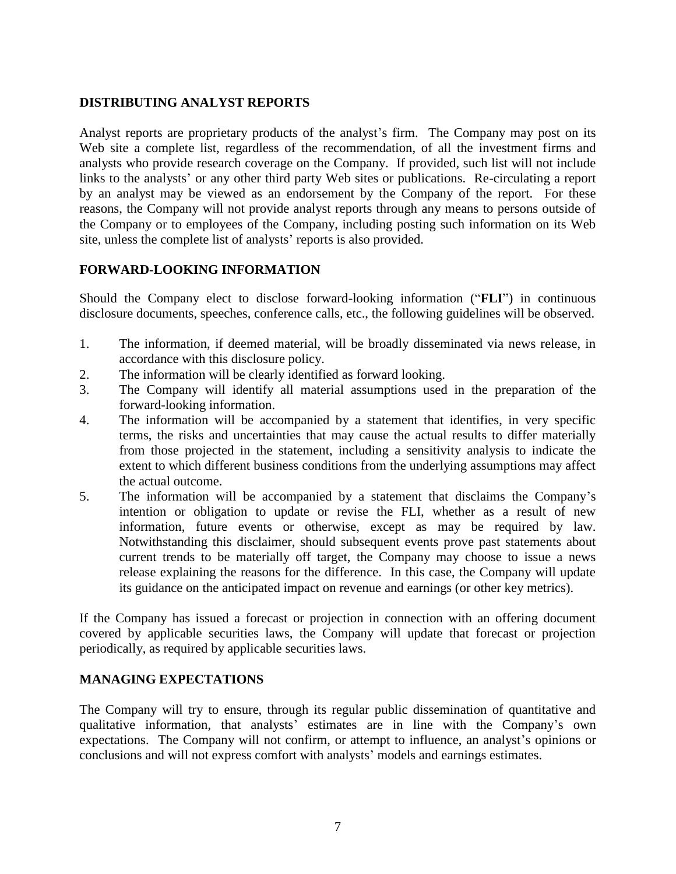## **DISTRIBUTING ANALYST REPORTS**

Analyst reports are proprietary products of the analyst's firm. The Company may post on its Web site a complete list, regardless of the recommendation, of all the investment firms and analysts who provide research coverage on the Company. If provided, such list will not include links to the analysts' or any other third party Web sites or publications. Re-circulating a report by an analyst may be viewed as an endorsement by the Company of the report. For these reasons, the Company will not provide analyst reports through any means to persons outside of the Company or to employees of the Company, including posting such information on its Web site, unless the complete list of analysts' reports is also provided.

## **FORWARD-LOOKING INFORMATION**

Should the Company elect to disclose forward-looking information ("**FLI**") in continuous disclosure documents, speeches, conference calls, etc., the following guidelines will be observed.

- 1. The information, if deemed material, will be broadly disseminated via news release, in accordance with this disclosure policy.
- 2. The information will be clearly identified as forward looking.
- 3. The Company will identify all material assumptions used in the preparation of the forward-looking information.
- 4. The information will be accompanied by a statement that identifies, in very specific terms, the risks and uncertainties that may cause the actual results to differ materially from those projected in the statement, including a sensitivity analysis to indicate the extent to which different business conditions from the underlying assumptions may affect the actual outcome.
- 5. The information will be accompanied by a statement that disclaims the Company's intention or obligation to update or revise the FLI, whether as a result of new information, future events or otherwise, except as may be required by law. Notwithstanding this disclaimer, should subsequent events prove past statements about current trends to be materially off target, the Company may choose to issue a news release explaining the reasons for the difference. In this case, the Company will update its guidance on the anticipated impact on revenue and earnings (or other key metrics).

If the Company has issued a forecast or projection in connection with an offering document covered by applicable securities laws, the Company will update that forecast or projection periodically, as required by applicable securities laws.

#### **MANAGING EXPECTATIONS**

The Company will try to ensure, through its regular public dissemination of quantitative and qualitative information, that analysts' estimates are in line with the Company's own expectations. The Company will not confirm, or attempt to influence, an analyst's opinions or conclusions and will not express comfort with analysts' models and earnings estimates.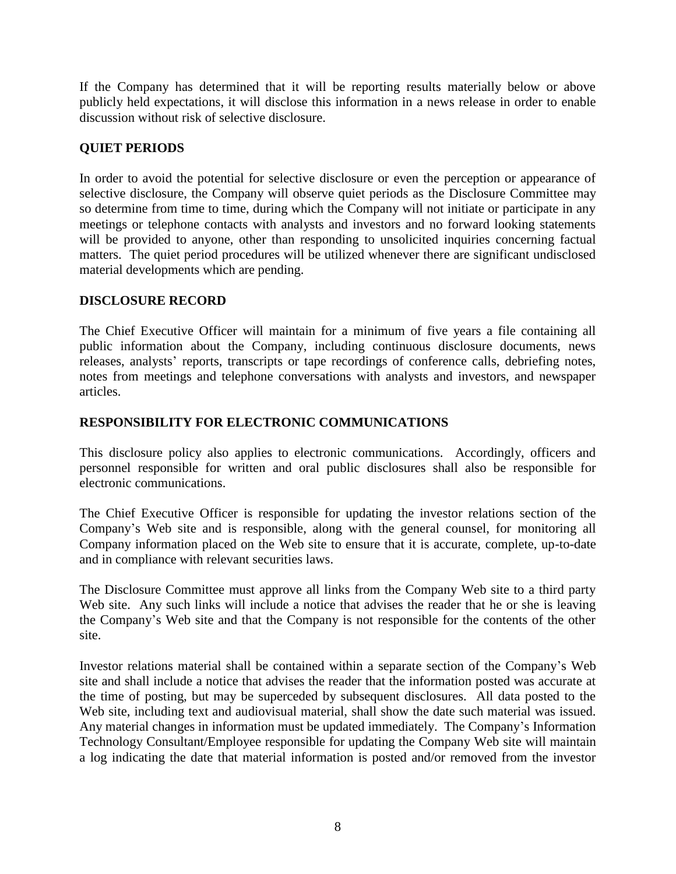If the Company has determined that it will be reporting results materially below or above publicly held expectations, it will disclose this information in a news release in order to enable discussion without risk of selective disclosure.

## **QUIET PERIODS**

In order to avoid the potential for selective disclosure or even the perception or appearance of selective disclosure, the Company will observe quiet periods as the Disclosure Committee may so determine from time to time, during which the Company will not initiate or participate in any meetings or telephone contacts with analysts and investors and no forward looking statements will be provided to anyone, other than responding to unsolicited inquiries concerning factual matters. The quiet period procedures will be utilized whenever there are significant undisclosed material developments which are pending.

## **DISCLOSURE RECORD**

The Chief Executive Officer will maintain for a minimum of five years a file containing all public information about the Company, including continuous disclosure documents, news releases, analysts' reports, transcripts or tape recordings of conference calls, debriefing notes, notes from meetings and telephone conversations with analysts and investors, and newspaper articles.

## **RESPONSIBILITY FOR ELECTRONIC COMMUNICATIONS**

This disclosure policy also applies to electronic communications. Accordingly, officers and personnel responsible for written and oral public disclosures shall also be responsible for electronic communications.

The Chief Executive Officer is responsible for updating the investor relations section of the Company's Web site and is responsible, along with the general counsel, for monitoring all Company information placed on the Web site to ensure that it is accurate, complete, up-to-date and in compliance with relevant securities laws.

The Disclosure Committee must approve all links from the Company Web site to a third party Web site. Any such links will include a notice that advises the reader that he or she is leaving the Company's Web site and that the Company is not responsible for the contents of the other site.

Investor relations material shall be contained within a separate section of the Company's Web site and shall include a notice that advises the reader that the information posted was accurate at the time of posting, but may be superceded by subsequent disclosures. All data posted to the Web site, including text and audiovisual material, shall show the date such material was issued. Any material changes in information must be updated immediately. The Company's Information Technology Consultant/Employee responsible for updating the Company Web site will maintain a log indicating the date that material information is posted and/or removed from the investor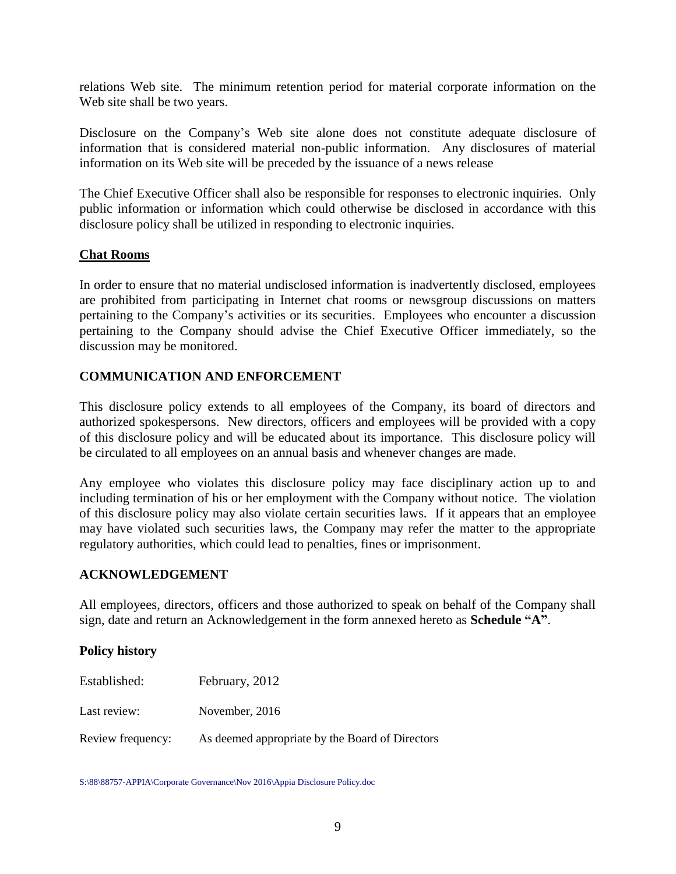relations Web site. The minimum retention period for material corporate information on the Web site shall be two years.

Disclosure on the Company's Web site alone does not constitute adequate disclosure of information that is considered material non-public information. Any disclosures of material information on its Web site will be preceded by the issuance of a news release

The Chief Executive Officer shall also be responsible for responses to electronic inquiries. Only public information or information which could otherwise be disclosed in accordance with this disclosure policy shall be utilized in responding to electronic inquiries.

## **Chat Rooms**

In order to ensure that no material undisclosed information is inadvertently disclosed, employees are prohibited from participating in Internet chat rooms or newsgroup discussions on matters pertaining to the Company's activities or its securities. Employees who encounter a discussion pertaining to the Company should advise the Chief Executive Officer immediately, so the discussion may be monitored.

## **COMMUNICATION AND ENFORCEMENT**

This disclosure policy extends to all employees of the Company, its board of directors and authorized spokespersons. New directors, officers and employees will be provided with a copy of this disclosure policy and will be educated about its importance. This disclosure policy will be circulated to all employees on an annual basis and whenever changes are made.

Any employee who violates this disclosure policy may face disciplinary action up to and including termination of his or her employment with the Company without notice. The violation of this disclosure policy may also violate certain securities laws. If it appears that an employee may have violated such securities laws, the Company may refer the matter to the appropriate regulatory authorities, which could lead to penalties, fines or imprisonment.

#### **ACKNOWLEDGEMENT**

All employees, directors, officers and those authorized to speak on behalf of the Company shall sign, date and return an Acknowledgement in the form annexed hereto as **Schedule "A"**.

#### **Policy history**

| Established:      | February, 2012                                  |
|-------------------|-------------------------------------------------|
| Last review:      | November, 2016                                  |
| Review frequency: | As deemed appropriate by the Board of Directors |

S:\88\88757-APPIA\Corporate Governance\Nov 2016\Appia Disclosure Policy.doc